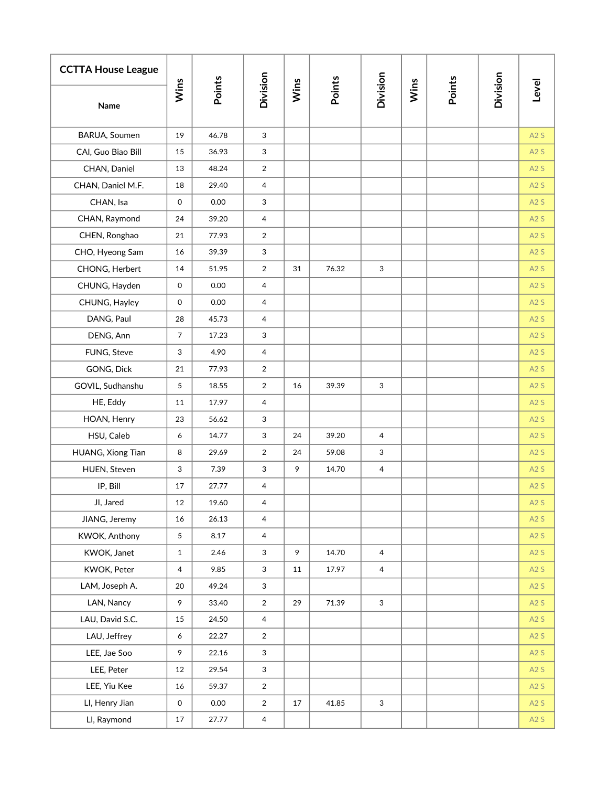| <b>CCTTA House League</b> |                     |        |                |      |        |                |      |        |          |       |
|---------------------------|---------------------|--------|----------------|------|--------|----------------|------|--------|----------|-------|
| Name                      | Wins                | Points | Division       | Wins | Points | Division       | Wins | Points | Division | Level |
| BARUA, Soumen             | 19                  | 46.78  | 3              |      |        |                |      |        |          | A2S   |
| CAI, Guo Biao Bill        | 15                  | 36.93  | 3              |      |        |                |      |        |          | A2S   |
| CHAN, Daniel              | 13                  | 48.24  | $\overline{2}$ |      |        |                |      |        |          | A2S   |
| CHAN, Daniel M.F.         | 18                  | 29.40  | $\overline{4}$ |      |        |                |      |        |          | A2S   |
| CHAN, Isa                 | 0                   | 0.00   | 3              |      |        |                |      |        |          | A2S   |
| CHAN, Raymond             | 24                  | 39.20  | $\overline{4}$ |      |        |                |      |        |          | A2S   |
| CHEN, Ronghao             | 21                  | 77.93  | $\overline{2}$ |      |        |                |      |        |          | A2S   |
| CHO, Hyeong Sam           | 16                  | 39.39  | 3              |      |        |                |      |        |          | A2S   |
| CHONG, Herbert            | 14                  | 51.95  | $\overline{2}$ | 31   | 76.32  | 3              |      |        |          | A2S   |
| CHUNG, Hayden             | 0                   | 0.00   | $\overline{4}$ |      |        |                |      |        |          | A2S   |
| CHUNG, Hayley             | $\mathsf{O}$        | 0.00   | $\overline{4}$ |      |        |                |      |        |          | A2S   |
| DANG, Paul                | 28                  | 45.73  | $\overline{4}$ |      |        |                |      |        |          | A2S   |
| DENG, Ann                 | $\overline{7}$      | 17.23  | 3              |      |        |                |      |        |          | A2S   |
| FUNG, Steve               | 3                   | 4.90   | $\overline{4}$ |      |        |                |      |        |          | A2S   |
| GONG, Dick                | 21                  | 77.93  | $\overline{2}$ |      |        |                |      |        |          | A2S   |
| GOVIL, Sudhanshu          | 5                   | 18.55  | $\overline{2}$ | 16   | 39.39  | 3              |      |        |          | A2S   |
| HE, Eddy                  | 11                  | 17.97  | $\overline{4}$ |      |        |                |      |        |          | A2S   |
| HOAN, Henry               | 23                  | 56.62  | 3              |      |        |                |      |        |          | A2S   |
| HSU, Caleb                | 6                   | 14.77  | 3              | 24   | 39.20  | $\overline{4}$ |      |        |          | A2S   |
| HUANG, Xiong Tian         | 8                   | 29.69  | $\overline{2}$ | 24   | 59.08  | 3              |      |        |          | A2S   |
| HUEN, Steven              | 3                   | 7.39   | 3              | 9    | 14.70  | 4              |      |        |          | A2S   |
| IP, Bill                  | 17                  | 27.77  | $\overline{4}$ |      |        |                |      |        |          | A2S   |
| JI, Jared                 | 12                  | 19.60  | 4              |      |        |                |      |        |          | A2S   |
| JIANG, Jeremy             | 16                  | 26.13  | $\overline{4}$ |      |        |                |      |        |          | A2S   |
| KWOK, Anthony             | 5                   | 8.17   | $\overline{4}$ |      |        |                |      |        |          | A2S   |
| KWOK, Janet               | $\mathbf{1}$        | 2.46   | $\mathbf{3}$   | 9    | 14.70  | $\overline{4}$ |      |        |          | A2S   |
| KWOK, Peter               | 4                   | 9.85   | 3              | 11   | 17.97  | $\overline{4}$ |      |        |          | A2S   |
| LAM, Joseph A.            | 20                  | 49.24  | 3              |      |        |                |      |        |          | A2S   |
| LAN, Nancy                | 9                   | 33.40  | $\overline{2}$ | 29   | 71.39  | $\mathbf{3}$   |      |        |          | A2S   |
| LAU, David S.C.           | 15                  | 24.50  | $\overline{4}$ |      |        |                |      |        |          | A2S   |
| LAU, Jeffrey              | 6                   | 22.27  | $\overline{2}$ |      |        |                |      |        |          | A2S   |
| LEE, Jae Soo              | 9                   | 22.16  | $\mathbf{3}$   |      |        |                |      |        |          | A2S   |
| LEE, Peter                | 12                  | 29.54  | 3              |      |        |                |      |        |          | A2S   |
| LEE, Yiu Kee              | 16                  | 59.37  | $\overline{2}$ |      |        |                |      |        |          | A2S   |
| LI, Henry Jian            | $\mathsf{O}\xspace$ | 0.00   | $\overline{2}$ | 17   | 41.85  | $\mathbf{3}$   |      |        |          | A2S   |
| LI, Raymond               | $17\,$              | 27.77  | $\overline{a}$ |      |        |                |      |        |          | A2S   |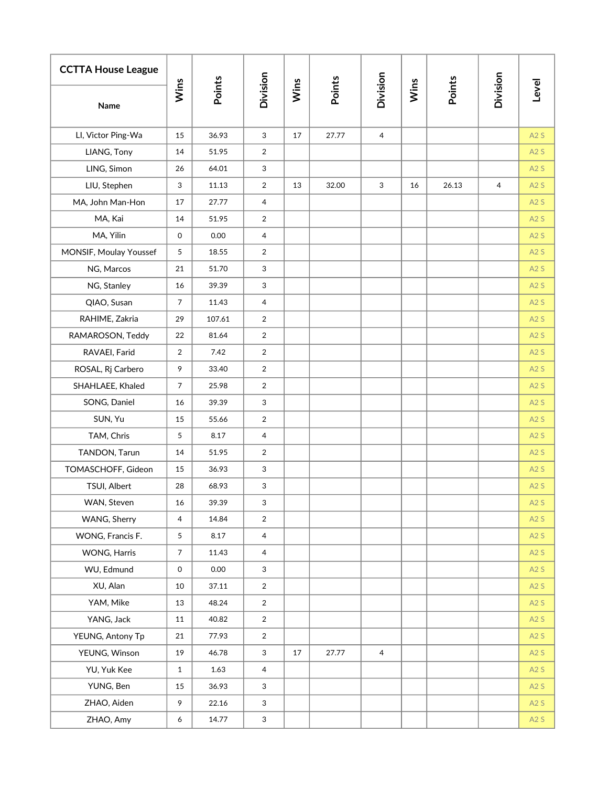| <b>CCTTA House League</b> |                |        |                |      |        |                |      |        |                |       |  |
|---------------------------|----------------|--------|----------------|------|--------|----------------|------|--------|----------------|-------|--|
| Name                      | Wins           | Points | Division       | Wins | Points | Division       | Wins | Points | Division       | Level |  |
| LI, Victor Ping-Wa        | 15             | 36.93  | 3              | 17   | 27.77  | $\overline{4}$ |      |        |                | A2S   |  |
| LIANG, Tony               | 14             | 51.95  | $\overline{2}$ |      |        |                |      |        |                | A2S   |  |
| LING, Simon               | 26             | 64.01  | 3              |      |        |                |      |        |                | A2S   |  |
| LIU, Stephen              | 3              | 11.13  | $\overline{2}$ | 13   | 32.00  | 3              | 16   | 26.13  | $\overline{4}$ | A2S   |  |
| MA, John Man-Hon          | 17             | 27.77  | $\overline{4}$ |      |        |                |      |        |                | A2S   |  |
| MA, Kai                   | 14             | 51.95  | $\overline{2}$ |      |        |                |      |        |                | A2S   |  |
| MA, Yilin                 | 0              | 0.00   | $\overline{4}$ |      |        |                |      |        |                | A2S   |  |
| MONSIF, Moulay Youssef    | 5              | 18.55  | $\overline{2}$ |      |        |                |      |        |                | A2S   |  |
| NG, Marcos                | 21             | 51.70  | 3              |      |        |                |      |        |                | A2S   |  |
| NG, Stanley               | 16             | 39.39  | 3              |      |        |                |      |        |                | A2S   |  |
| QIAO, Susan               | $\overline{7}$ | 11.43  | $\overline{4}$ |      |        |                |      |        |                | A2S   |  |
| RAHIME, Zakria            | 29             | 107.61 | $\overline{2}$ |      |        |                |      |        |                | A2S   |  |
| RAMAROSON, Teddy          | 22             | 81.64  | $\overline{2}$ |      |        |                |      |        |                | A2S   |  |
| RAVAEI, Farid             | $\overline{2}$ | 7.42   | $\overline{2}$ |      |        |                |      |        |                | A2S   |  |
| ROSAL, Rj Carbero         | 9              | 33.40  | $\overline{2}$ |      |        |                |      |        |                | A2S   |  |
| SHAHLAEE, Khaled          | $\overline{7}$ | 25.98  | $\overline{2}$ |      |        |                |      |        |                | A2S   |  |
| SONG, Daniel              | 16             | 39.39  | 3              |      |        |                |      |        |                | A2S   |  |
| SUN, Yu                   | 15             | 55.66  | $\overline{2}$ |      |        |                |      |        |                | A2S   |  |
| TAM, Chris                | 5              | 8.17   | $\overline{4}$ |      |        |                |      |        |                | A2S   |  |
| TANDON, Tarun             | 14             | 51.95  | $\overline{2}$ |      |        |                |      |        |                | A2S   |  |
| TOMASCHOFF, Gideon        | 15             | 36.93  | 3              |      |        |                |      |        |                | A2S   |  |
| TSUI, Albert              | 28             | 68.93  | 3              |      |        |                |      |        |                | A2S   |  |
| WAN, Steven               | 16             | 39.39  | 3              |      |        |                |      |        |                | A2S   |  |
| WANG, Sherry              | 4              | 14.84  | $\overline{2}$ |      |        |                |      |        |                | A2S   |  |
| WONG, Francis F.          | 5              | 8.17   | $\overline{4}$ |      |        |                |      |        |                | A2S   |  |
| WONG, Harris              | $\overline{7}$ | 11.43  | $\overline{4}$ |      |        |                |      |        |                | A2S   |  |
| WU, Edmund                | 0              | 0.00   | 3              |      |        |                |      |        |                | A2S   |  |
| XU, Alan                  | 10             | 37.11  | $\overline{2}$ |      |        |                |      |        |                | A2S   |  |
| YAM, Mike                 | 13             | 48.24  | $\overline{2}$ |      |        |                |      |        |                | A2S   |  |
| YANG, Jack                | 11             | 40.82  | $\overline{2}$ |      |        |                |      |        |                | A2S   |  |
| YEUNG, Antony Tp          | 21             | 77.93  | $\overline{2}$ |      |        |                |      |        |                | A2S   |  |
| YEUNG, Winson             | 19             | 46.78  | $\mathbf{3}$   | 17   | 27.77  | $\overline{4}$ |      |        |                | A2S   |  |
| YU, Yuk Kee               | $\mathbf{1}$   | 1.63   | $\overline{4}$ |      |        |                |      |        |                | A2S   |  |
| YUNG, Ben                 | 15             | 36.93  | 3              |      |        |                |      |        |                | A2S   |  |
| ZHAO, Aiden               | 9              | 22.16  | $\mathbf{3}$   |      |        |                |      |        |                | A2S   |  |
| ZHAO, Amy                 | 6              | 14.77  | 3              |      |        |                |      |        |                | A2S   |  |
|                           |                |        |                |      |        |                |      |        |                |       |  |